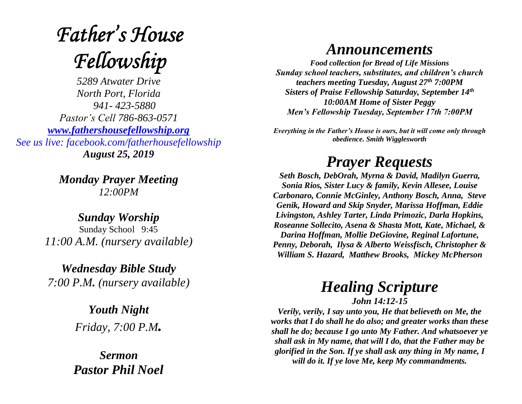# **Father's House** Fellowship

*5289 Atwater Drive North Port, Florida 941- 423-5880 Pastor's Cell 786-863-0571 [www.fathershousefellowship.org](http://www.fathershousefellowship.org/) See us live: facebook.com/fatherhousefellowship August 25, 2019*

> *Monday Prayer Meeting 12:00PM*

*Sunday Worship* Sunday School 9:45 *11:00 A.M. (nursery available)*

*Wednesday Bible Study 7:00 P.M. (nursery available)*

> *Youth Night Friday, 7:00 P.M.*

*Sermon Pastor Phil Noel*

### *Announcements*

*Food collection for Bread of Life Missions Sunday school teachers, substitutes, and children's church teachers meeting Tuesday, August 27th 7:00PM Sisters of Praise Fellowship Saturday, September 14th 10:00AM Home of Sister Peggy Men's Fellowship Tuesday, September 17th 7:00PM*

*Everything in the Father's House is ours, but it will come only through obedience. Smith Wigglesworth*

## *Prayer Requests*

*Seth Bosch, DebOrah, Myrna & David, Madilyn Guerra, Sonia Rios, Sister Lucy & family, Kevin Allesee, Louise Carbonaro, Connie McGinley, Anthony Bosch, Anna, Steve Genik, Howard and Skip Snyder, Marissa Hoffman, Eddie Livingston, Ashley Tarter, Linda Primozic, Darla Hopkins, Roseanne Sollecito, Asena & Shasta Mott, Kate, Michael, & Darina Hoffman, Mollie DeGiovine, Reginal Lafortune, Penny, Deborah, Ilysa & Alberto Weissfisch, Christopher & William S. Hazard, Matthew Brooks, Mickey McPherson* 

#### *Healing Scripture John 14:12-15*

*Verily, verily, I say unto you, He that believeth on Me, the works that I do shall he do also; and greater works than these shall he do; because I go unto My Father. And whatsoever ye shall ask in My name, that will I do, that the Father may be glorified in the Son. If ye shall ask any thing in My name, I will do it. If ye love Me, keep My commandments.*